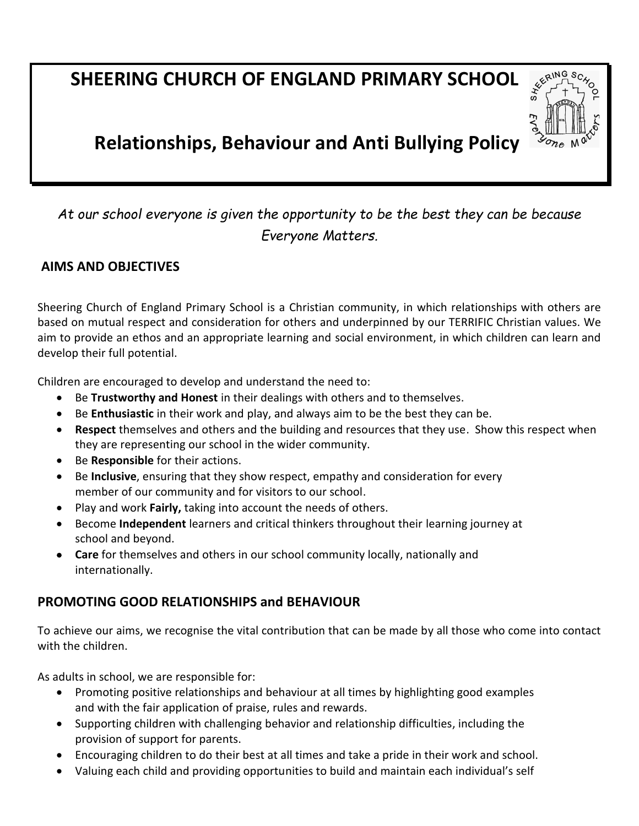# **SHEERING CHURCH OF ENGLAND PRIMARY SCHOOL**



# **Relationships, Behaviour and Anti Bullying Policy**

*At our school everyone is given the opportunity to be the best they can be because Everyone Matters.*

## **AIMS AND OBJECTIVES**

Sheering Church of England Primary School is a Christian community, in which relationships with others are based on mutual respect and consideration for others and underpinned by our TERRIFIC Christian values. We aim to provide an ethos and an appropriate learning and social environment, in which children can learn and develop their full potential.

Children are encouraged to develop and understand the need to:

- Be **Trustworthy and Honest** in their dealings with others and to themselves.
- Be **Enthusiastic** in their work and play, and always aim to be the best they can be.
- **Respect** themselves and others and the building and resources that they use. Show this respect when they are representing our school in the wider community.
- Be **Responsible** for their actions.
- Be **Inclusive**, ensuring that they show respect, empathy and consideration for every member of our community and for visitors to our school.
- Play and work **Fairly,** taking into account the needs of others.
- Become **Independent** learners and critical thinkers throughout their learning journey at school and beyond.
- **Care** for themselves and others in our school community locally, nationally and internationally.

### **PROMOTING GOOD RELATIONSHIPS and BEHAVIOUR**

To achieve our aims, we recognise the vital contribution that can be made by all those who come into contact with the children.

As adults in school, we are responsible for:

- Promoting positive relationships and behaviour at all times by highlighting good examples and with the fair application of praise, rules and rewards.
- Supporting children with challenging behavior and relationship difficulties, including the provision of support for parents.
- Encouraging children to do their best at all times and take a pride in their work and school.
- Valuing each child and providing opportunities to build and maintain each individual's self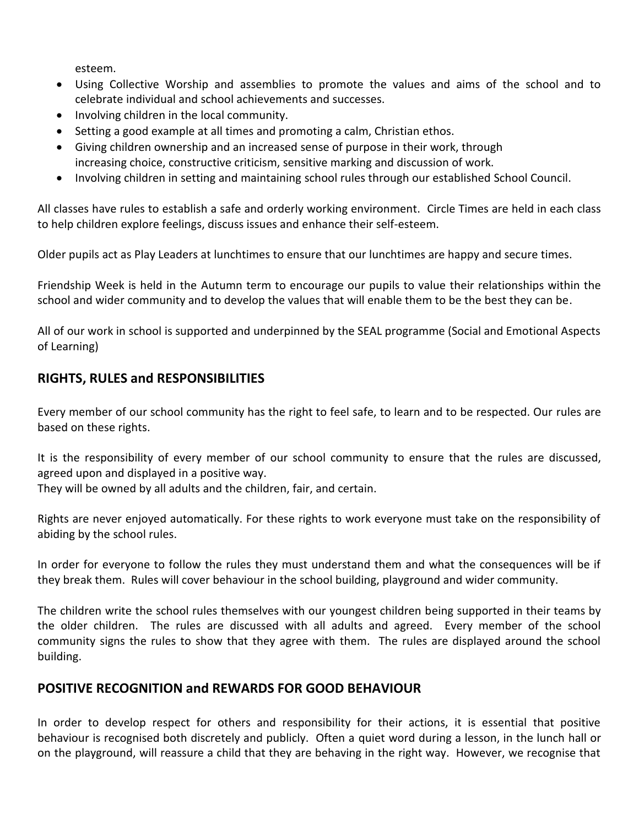esteem.

- Using Collective Worship and assemblies to promote the values and aims of the school and to celebrate individual and school achievements and successes.
- Involving children in the local community.
- Setting a good example at all times and promoting a calm, Christian ethos.
- Giving children ownership and an increased sense of purpose in their work, through increasing choice, constructive criticism, sensitive marking and discussion of work.
- Involving children in setting and maintaining school rules through our established School Council.

All classes have rules to establish a safe and orderly working environment. Circle Times are held in each class to help children explore feelings, discuss issues and enhance their self-esteem.

Older pupils act as Play Leaders at lunchtimes to ensure that our lunchtimes are happy and secure times.

Friendship Week is held in the Autumn term to encourage our pupils to value their relationships within the school and wider community and to develop the values that will enable them to be the best they can be.

All of our work in school is supported and underpinned by the SEAL programme (Social and Emotional Aspects of Learning)

## **RIGHTS, RULES and RESPONSIBILITIES**

Every member of our school community has the right to feel safe, to learn and to be respected. Our rules are based on these rights.

It is the responsibility of every member of our school community to ensure that the rules are discussed, agreed upon and displayed in a positive way.

They will be owned by all adults and the children, fair, and certain.

Rights are never enjoyed automatically. For these rights to work everyone must take on the responsibility of abiding by the school rules.

In order for everyone to follow the rules they must understand them and what the consequences will be if they break them. Rules will cover behaviour in the school building, playground and wider community.

The children write the school rules themselves with our youngest children being supported in their teams by the older children. The rules are discussed with all adults and agreed. Every member of the school community signs the rules to show that they agree with them. The rules are displayed around the school building.

### **POSITIVE RECOGNITION and REWARDS FOR GOOD BEHAVIOUR**

In order to develop respect for others and responsibility for their actions, it is essential that positive behaviour is recognised both discretely and publicly. Often a quiet word during a lesson, in the lunch hall or on the playground, will reassure a child that they are behaving in the right way. However, we recognise that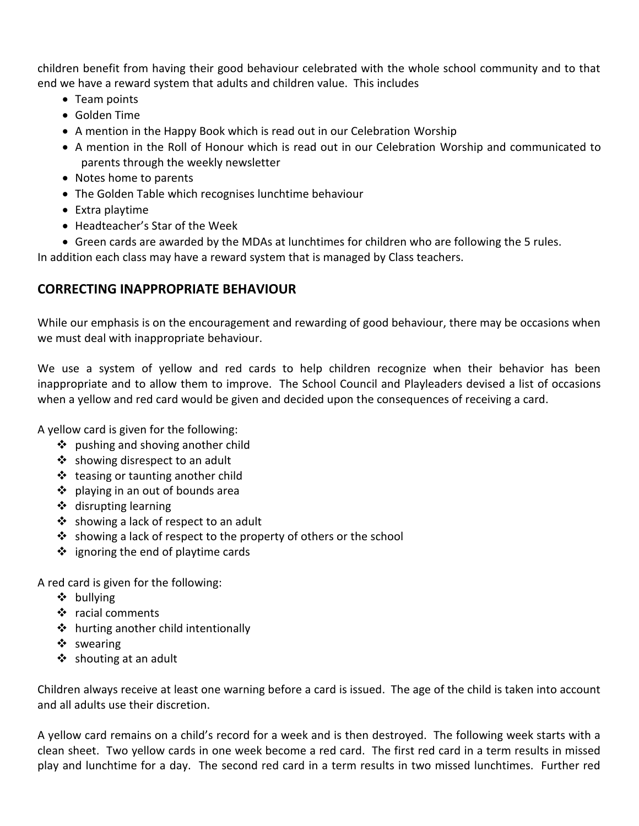children benefit from having their good behaviour celebrated with the whole school community and to that end we have a reward system that adults and children value. This includes

- Team points
- Golden Time
- A mention in the Happy Book which is read out in our Celebration Worship
- A mention in the Roll of Honour which is read out in our Celebration Worship and communicated to parents through the weekly newsletter
- Notes home to parents
- The Golden Table which recognises lunchtime behaviour
- Extra playtime
- Headteacher's Star of the Week
- Green cards are awarded by the MDAs at lunchtimes for children who are following the 5 rules.

In addition each class may have a reward system that is managed by Class teachers.

## **CORRECTING INAPPROPRIATE BEHAVIOUR**

While our emphasis is on the encouragement and rewarding of good behaviour, there may be occasions when we must deal with inappropriate behaviour.

We use a system of yellow and red cards to help children recognize when their behavior has been inappropriate and to allow them to improve. The School Council and Playleaders devised a list of occasions when a yellow and red card would be given and decided upon the consequences of receiving a card.

A yellow card is given for the following:

- ❖ pushing and shoving another child
- ❖ showing disrespect to an adult
- ❖ teasing or taunting another child
- ❖ playing in an out of bounds area
- ❖ disrupting learning
- ❖ showing a lack of respect to an adult
- ❖ showing a lack of respect to the property of others or the school
- ❖ ignoring the end of playtime cards

A red card is given for the following:

- ❖ bullying
- ❖ racial comments
- ❖ hurting another child intentionally
- ❖ swearing
- ❖ shouting at an adult

Children always receive at least one warning before a card is issued. The age of the child is taken into account and all adults use their discretion.

A yellow card remains on a child's record for a week and is then destroyed. The following week starts with a clean sheet. Two yellow cards in one week become a red card. The first red card in a term results in missed play and lunchtime for a day. The second red card in a term results in two missed lunchtimes. Further red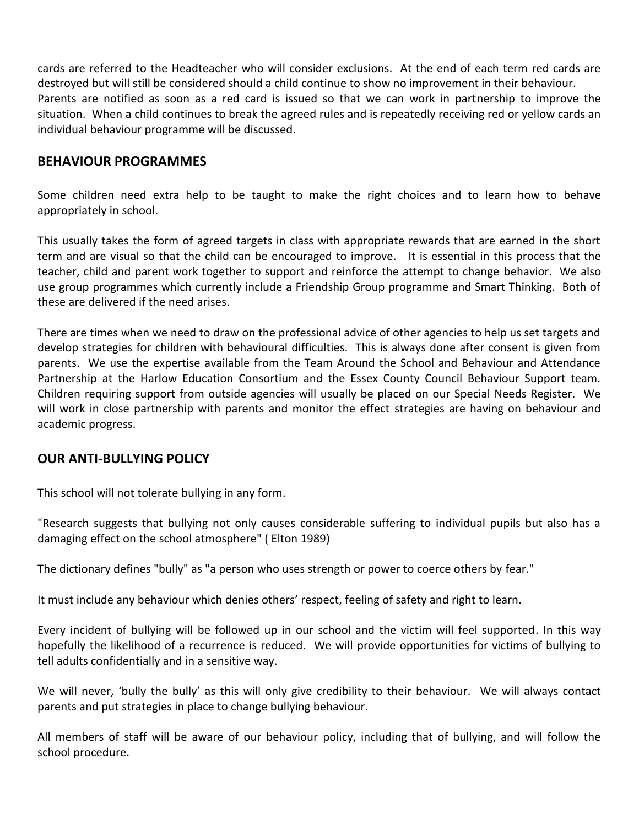cards are referred to the Headteacher who will consider exclusions. At the end of each term red cards are destroyed but will still be considered should a child continue to show no improvement in their behaviour. Parents are notified as soon as a red card is issued so that we can work in partnership to improve the situation. When a child continues to break the agreed rules and is repeatedly receiving red or yellow cards an individual behaviour programme will be discussed.

#### **BEHAVIOUR PROGRAMMES**

Some children need extra help to be taught to make the right choices and to learn how to behave appropriately in school.

This usually takes the form of agreed targets in class with appropriate rewards that are earned in the short term and are visual so that the child can be encouraged to improve. It is essential in this process that the teacher, child and parent work together to support and reinforce the attempt to change behavior. We also use group programmes which currently include a Friendship Group programme and Smart Thinking. Both of these are delivered if the need arises.

There are times when we need to draw on the professional advice of other agencies to help us set targets and develop strategies for children with behavioural difficulties. This is always done after consent is given from parents. We use the expertise available from the Team Around the School and Behaviour and Attendance Partnership at the Harlow Education Consortium and the Essex County Council Behaviour Support team. Children requiring support from outside agencies will usually be placed on our Special Needs Register. We will work in close partnership with parents and monitor the effect strategies are having on behaviour and academic progress.

### **OUR ANTI-BULLYING POLICY**

This school will not tolerate bullying in any form.

"Research suggests that bullying not only causes considerable suffering to individual pupils but also has a damaging effect on the school atmosphere" ( Elton 1989)

The dictionary defines "bully" as "a person who uses strength or power to coerce others by fear."

It must include any behaviour which denies others' respect, feeling of safety and right to learn.

Every incident of bullying will be followed up in our school and the victim will feel supported. In this way hopefully the likelihood of a recurrence is reduced. We will provide opportunities for victims of bullying to tell adults confidentially and in a sensitive way.

We will never, 'bully the bully' as this will only give credibility to their behaviour. We will always contact parents and put strategies in place to change bullying behaviour.

All members of staff will be aware of our behaviour policy, including that of bullying, and will follow the school procedure.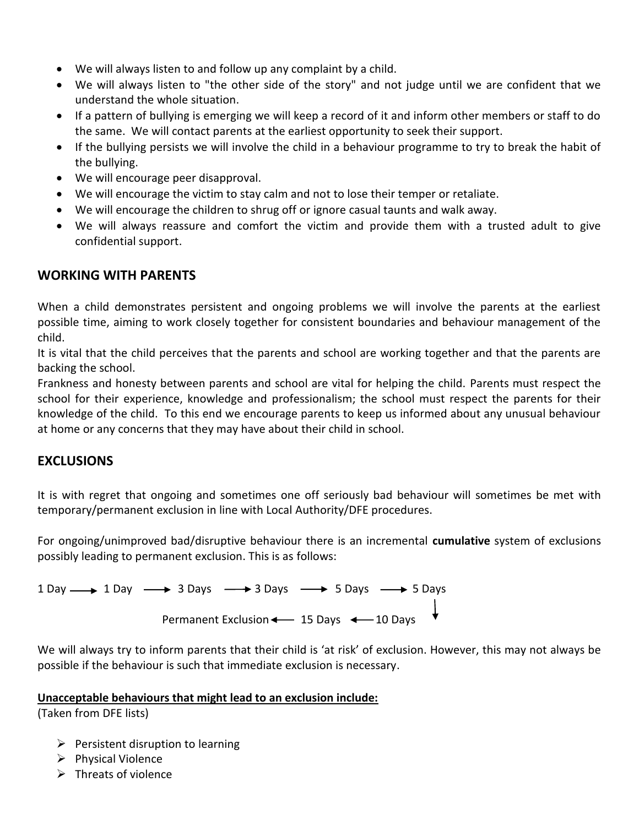- We will always listen to and follow up any complaint by a child.
- We will always listen to "the other side of the story" and not judge until we are confident that we understand the whole situation.
- If a pattern of bullying is emerging we will keep a record of it and inform other members or staff to do the same. We will contact parents at the earliest opportunity to seek their support.
- If the bullying persists we will involve the child in a behaviour programme to try to break the habit of the bullying.
- We will encourage peer disapproval.
- We will encourage the victim to stay calm and not to lose their temper or retaliate.
- We will encourage the children to shrug off or ignore casual taunts and walk away.
- We will always reassure and comfort the victim and provide them with a trusted adult to give confidential support.

## **WORKING WITH PARENTS**

When a child demonstrates persistent and ongoing problems we will involve the parents at the earliest possible time, aiming to work closely together for consistent boundaries and behaviour management of the child.

It is vital that the child perceives that the parents and school are working together and that the parents are backing the school.

Frankness and honesty between parents and school are vital for helping the child. Parents must respect the school for their experience, knowledge and professionalism; the school must respect the parents for their knowledge of the child. To this end we encourage parents to keep us informed about any unusual behaviour at home or any concerns that they may have about their child in school.

## **EXCLUSIONS**

It is with regret that ongoing and sometimes one off seriously bad behaviour will sometimes be met with temporary/permanent exclusion in line with Local Authority/DFE procedures.

For ongoing/unimproved bad/disruptive behaviour there is an incremental **cumulative** system of exclusions possibly leading to permanent exclusion. This is as follows:

1 Day  $\longrightarrow$  1 Day  $\longrightarrow$  3 Days  $\longrightarrow$  3 Days  $\longrightarrow$  5 Days  $\longrightarrow$  5 Days Permanent Exclusion 4 15 Days 4 10 Days

We will always try to inform parents that their child is 'at risk' of exclusion. However, this may not always be possible if the behaviour is such that immediate exclusion is necessary.

#### **Unacceptable behaviours that might lead to an exclusion include:**

(Taken from DFE lists)

- $\triangleright$  Persistent disruption to learning
- ➢ Physical Violence
- $\triangleright$  Threats of violence